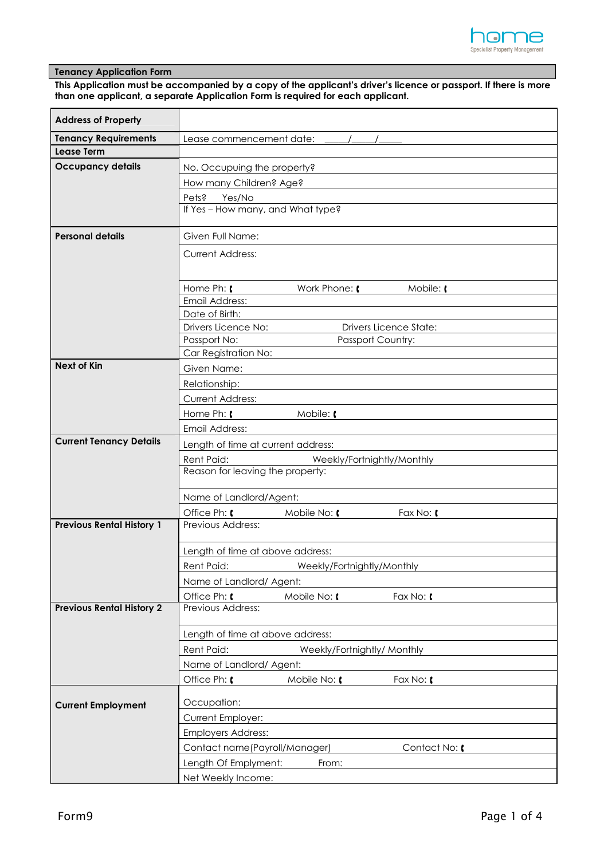

# **Tenancy Application Form**

**This Application must be accompanied by a copy of the applicant's driver's licence or passport. If there is more than one applicant, a separate Application Form is required for each applicant.** 

| <b>Address of Property</b>       |                                                                                       |                               |           |
|----------------------------------|---------------------------------------------------------------------------------------|-------------------------------|-----------|
| <b>Tenancy Requirements</b>      | Lease commencement date:                                                              |                               |           |
| <b>Lease Term</b>                |                                                                                       |                               |           |
| <b>Occupancy details</b>         | No. Occupuing the property?                                                           |                               |           |
|                                  | How many Children? Age?                                                               |                               |           |
|                                  | Pets?<br>Yes/No                                                                       |                               |           |
|                                  | If Yes - How many, and What type?                                                     |                               |           |
|                                  |                                                                                       |                               |           |
| <b>Personal details</b>          | Given Full Name:                                                                      |                               |           |
|                                  | <b>Current Address:</b>                                                               |                               |           |
|                                  |                                                                                       |                               |           |
|                                  | Home Ph:                                                                              | Work Phone: [                 | Mobile: [ |
|                                  | Email Address:                                                                        |                               |           |
|                                  | Date of Birth:                                                                        |                               |           |
|                                  | Drivers Licence No:                                                                   | <b>Drivers Licence State:</b> |           |
|                                  | Passport No:                                                                          | Passport Country:             |           |
|                                  | Car Registration No:                                                                  |                               |           |
| <b>Next of Kin</b>               | Given Name:                                                                           |                               |           |
|                                  | Relationship:                                                                         |                               |           |
|                                  | <b>Current Address:</b>                                                               |                               |           |
|                                  | Home Ph: [                                                                            | Mobile: [                     |           |
|                                  | Email Address:                                                                        |                               |           |
| <b>Current Tenancy Details</b>   | Length of time at current address:<br><b>Rent Paid:</b><br>Weekly/Fortnightly/Monthly |                               |           |
|                                  |                                                                                       |                               |           |
|                                  | Reason for leaving the property:                                                      |                               |           |
|                                  |                                                                                       |                               |           |
|                                  | Name of Landlord/Agent:                                                               |                               |           |
|                                  | Office Ph: [<br>Previous Address:                                                     | Mobile No: [                  | Fax No: ( |
| <b>Previous Rental History 1</b> |                                                                                       |                               |           |
|                                  | Length of time at above address:                                                      |                               |           |
|                                  | Rent Paid:                                                                            | Weekly/Fortnightly/Monthly    |           |
|                                  | Name of Landlord/ Agent:                                                              |                               |           |
|                                  | Office Ph: [                                                                          | Mobile No: [                  | Fax No: ( |
| <b>Previous Rental History 2</b> | Previous Address:                                                                     |                               |           |
|                                  |                                                                                       |                               |           |
|                                  | Length of time at above address:                                                      |                               |           |
|                                  | Rent Paid:<br>Weekly/Fortnightly/ Monthly                                             |                               |           |
|                                  | Name of Landlord/ Agent:                                                              |                               |           |
|                                  | Office Ph: (                                                                          | Mobile No: [                  | Fax No: ( |
| <b>Current Employment</b>        | Occupation:                                                                           |                               |           |
|                                  | Current Employer:<br><b>Employers Address:</b>                                        |                               |           |
|                                  |                                                                                       |                               |           |
|                                  | Contact name(Payroll/Manager)<br>Contact No: [                                        |                               |           |
|                                  |                                                                                       | From:                         |           |
|                                  | Length Of Emplyment:                                                                  |                               |           |
|                                  | Net Weekly Income:                                                                    |                               |           |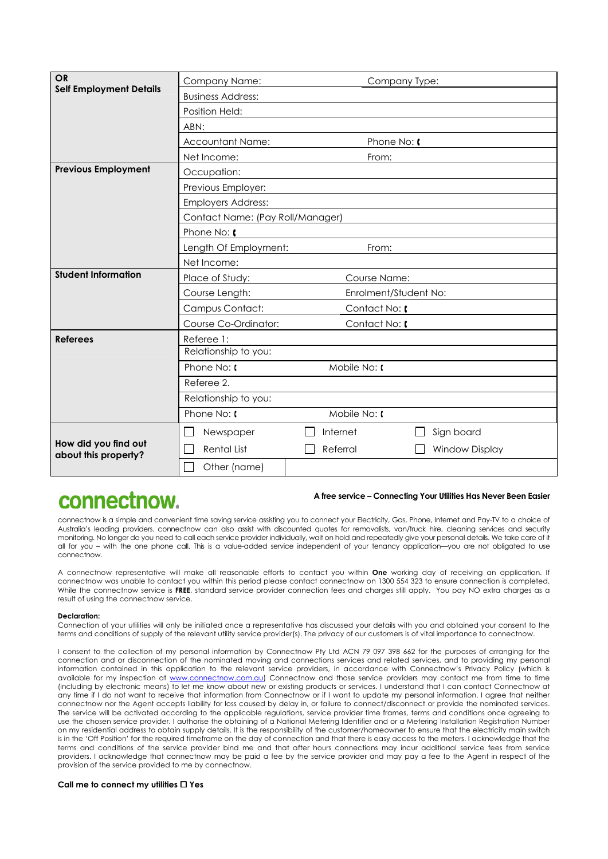| <b>OR</b>                                    | Company Name:                    |                                                                              | Company Type:         |  |
|----------------------------------------------|----------------------------------|------------------------------------------------------------------------------|-----------------------|--|
| <b>Self Employment Details</b>               | <b>Business Address:</b>         |                                                                              |                       |  |
|                                              | Position Held:                   |                                                                              |                       |  |
|                                              | ABN:                             |                                                                              |                       |  |
|                                              | Accountant Name:                 |                                                                              | Phone No: [           |  |
|                                              | Net Income:                      | From:                                                                        |                       |  |
| <b>Previous Employment</b>                   | Occupation:                      |                                                                              |                       |  |
|                                              | Previous Employer:               |                                                                              |                       |  |
|                                              | <b>Employers Address:</b>        |                                                                              |                       |  |
|                                              | Contact Name: (Pay Roll/Manager) |                                                                              |                       |  |
|                                              | Phone No:                        |                                                                              |                       |  |
|                                              | Length Of Employment:            | From:                                                                        |                       |  |
|                                              | Net Income:                      |                                                                              |                       |  |
| <b>Student Information</b>                   | Place of Study:                  | <b>Course Name:</b><br>Enrolment/Student No:<br>Contact No: (<br>Contact No: |                       |  |
|                                              | Course Length:                   |                                                                              |                       |  |
|                                              | Campus Contact:                  |                                                                              |                       |  |
|                                              | Course Co-Ordinator:             |                                                                              |                       |  |
| <b>Referees</b>                              | Referee 1:                       |                                                                              |                       |  |
|                                              | Relationship to you:             |                                                                              |                       |  |
|                                              | Phone No: t                      | $M$ obile No: $\mathfrak l$                                                  |                       |  |
|                                              | Referee 2.                       |                                                                              |                       |  |
|                                              | Relationship to you:             |                                                                              |                       |  |
|                                              | Phone No: I                      | Mobile No: [                                                                 |                       |  |
|                                              | Newspaper<br>I.                  | Internet                                                                     | Sign board            |  |
| How did you find out<br>about this property? | <b>Rental List</b>               | Referral                                                                     | <b>Window Display</b> |  |
|                                              | Other (name)                     |                                                                              |                       |  |

# connectnow.

## **A free service – Connecting Your Utilities Has Never Been Easier**

connectnow is a simple and convenient time saving service assisting you to connect your Electricity, Gas, Phone, Internet and Pay-TV to a choice of Australia's leading providers. connectnow can also assist with discounted quotes for removalists, van/truck hire, cleaning services and security monitoring. No longer do you need to call each service provider individually, wait on hold and repeatedly give your personal details. We take care of it all for you – with the one phone call. This is a value-added service independent of your tenancy application—you are not obligated to use connectnow.

A connectnow representative will make all reasonable efforts to contact you within **One** working day of receiving an application. If connectnow was unable to contact you within this period please contact connectnow on 1300 554 323 to ensure connection is completed. While the connectnow service is FREE, standard service provider connection fees and charges still apply. You pay NO extra charges as a result of using the connectnow service.

#### **Declaration:**

Connection of your utilities will only be initiated once a representative has discussed your details with you and obtained your consent to the terms and conditions of supply of the relevant utility service provider(s). The privacy of our customers is of vital importance to connectnow.

I consent to the collection of my personal information by Connectnow Pty Ltd ACN 79 097 398 662 for the purposes of arranging for the connection and or disconnection of the nominated moving and connections services and related services, and to providing my personal information contained in this application to the relevant service providers, in accordance with Connectnow's Privacy Policy (which is available for my inspection at www.connectnow.com.au) Connectnow and those service providers may contact me from time to time (including by electronic means) to let me know about new or existing products or services. I understand that I can contact Connectnow at any time if I do not want to receive that information from Connectnow or if I want to update my personal information. I agree that neither connectnow nor the Agent accepts liability for loss caused by delay in, or failure to connect/disconnect or provide the nominated services. The service will be activated according to the applicable regulations, service provider time frames, terms and conditions once agreeing to use the chosen service provider. I authorise the obtaining of a National Metering Identifier and or a Metering Installation Registration Number on my residential address to obtain supply details. It is the responsibility of the customer/homeowner to ensure that the electricity main switch is in the 'Off Position' for the required timeframe on the day of connection and that there is easy access to the meters. I acknowledge that the terms and conditions of the service provider bind me and that after hours connections may incur additional service fees from service providers. I acknowledge that connectnow may be paid a fee by the service provider and may pay a fee to the Agent in respect of the provision of the service provided to me by connectnow.

#### **Call me to connect my utilities Yes**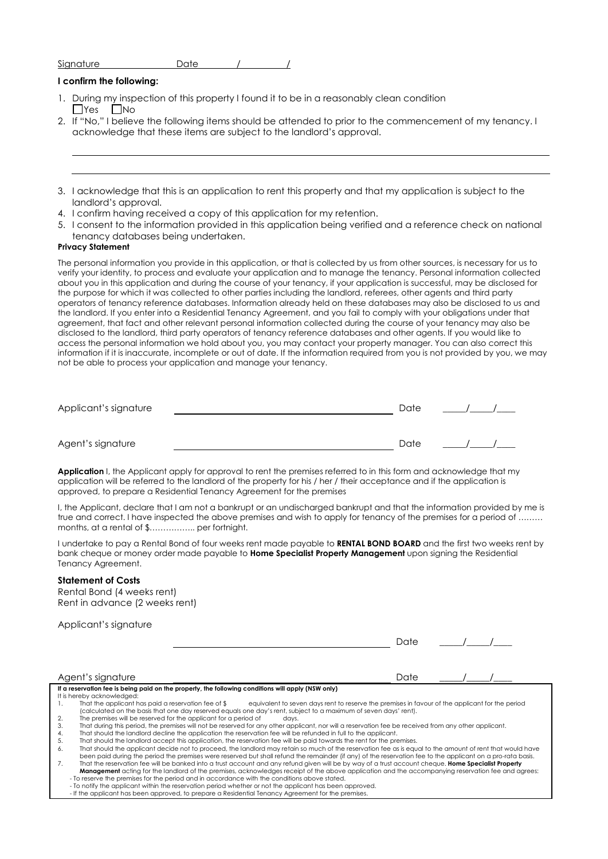| Signature | ിപ്പ<br>PUIS |  |
|-----------|--------------|--|
|           |              |  |

## **I confirm the following:**

- 1. During my inspection of this property I found it to be in a reasonably clean condition  $\Box$ Yes  $\Box$ No
- 2. If "No," I believe the following items should be attended to prior to the commencement of my tenancy. I acknowledge that these items are subject to the landlord's approval.

| 3. I acknowledge that this is an application to rent this property and that my application is subject to the |
|--------------------------------------------------------------------------------------------------------------|
| landlord's approval.                                                                                         |

- 4. I confirm having received a copy of this application for my retention.
- 5. I consent to the information provided in this application being verified and a reference check on national tenancy databases being undertaken.

#### **Privacy Statement**

The personal information you provide in this application, or that is collected by us from other sources, is necessary for us to verify your identity, to process and evaluate your application and to manage the tenancy. Personal information collected about you in this application and during the course of your tenancy, if your application is successful, may be disclosed for the purpose for which it was collected to other parties including the landlord, referees, other agents and third party operators of tenancy reference databases. Information already held on these databases may also be disclosed to us and the landlord. If you enter into a Residential Tenancy Agreement, and you fail to comply with your obligations under that agreement, that fact and other relevant personal information collected during the course of your tenancy may also be disclosed to the landlord, third party operators of tenancy reference databases and other agents. If you would like to access the personal information we hold about you, you may contact your property manager. You can also correct this information if it is inaccurate, incomplete or out of date. If the information required from you is not provided by you, we may not be able to process your application and manage your tenancy.

| Applicant's signature | Date |  |
|-----------------------|------|--|
|                       |      |  |
| Agent's signature     | Date |  |

Application I, the Applicant apply for approval to rent the premises referred to in this form and acknowledge that my application will be referred to the landlord of the property for his / her / their acceptance and if the application is approved, to prepare a Residential Tenancy Agreement for the premises

I, the Applicant, declare that I am not a bankrupt or an undischarged bankrupt and that the information provided by me is true and correct. I have inspected the above premises and wish to apply for tenancy of the premises for a period of ........ months, at a rental of \$…………….. per fortnight.

I undertake to pay a Rental Bond of four weeks rent made payable to **RENTAL BOND BOARD** and the first two weeks rent by bank cheque or money order made payable to **Home Specialist Property Management** upon signing the Residential Tenancy Agreement.

#### **Statement of Costs**

Rental Bond (4 weeks rent) Rent in advance (2 weeks rent)

Applicant's signature

| . .<br>$\overline{\phantom{a}}$<br>× |  |
|--------------------------------------|--|
|--------------------------------------|--|

 $\sqrt{2}$ 

| Agent's signature                                                                                                                                               | Date |  |
|-----------------------------------------------------------------------------------------------------------------------------------------------------------------|------|--|
| If a reservation fee is being paid on the property, the following conditions will apply (NSW only)                                                              |      |  |
| It is hereby acknowledged:                                                                                                                                      |      |  |
| equivalent to seven days rent to reserve the premises in favour of the applicant for the period<br>That the applicant has paid a reservation fee of \$          |      |  |
| (calculated on the basis that one day reserved equals one day's rent, subject to a maximum of seven days' rent).                                                |      |  |
| The premises will be reserved for the applicant for a period of<br>2.<br>davs.                                                                                  |      |  |
| That during this period, the premises will not be reserved for any other applicant, nor will a reservation fee be received from any other applicant.<br>3.      |      |  |
| That should the landlord decline the application the reservation fee will be refunded in full to the applicant.<br>4.                                           |      |  |
| That should the landlord accept this application, the reservation fee will be paid towards the rent for the premises.<br>5.                                     |      |  |
| That should the applicant decide not to proceed, the landlord may retain so much of the reservation fee as is equal to the amount of rent that would have<br>6. |      |  |
| been paid during the period the premises were reserved but shall refund the remainder (if any) of the reservation fee to the applicant on a pro-rata basis.     |      |  |
| That the reservation fee will be banked into a trust account and any refund given will be by way of a trust account cheque. Home Specialist Property<br>7.      |      |  |
| <b>Management</b> acting for the landlord of the premises, acknowledges receipt of the above application and the accompanying reservation fee and agrees:       |      |  |

- To reserve the premises for the period and in accordance with the conditions above stated.

- To notify the applicant within the reservation period whether or not the applicant has been approved.<br>- If the applicant has been approved, to prepare a Residential Tenancy Agreement for the premises.